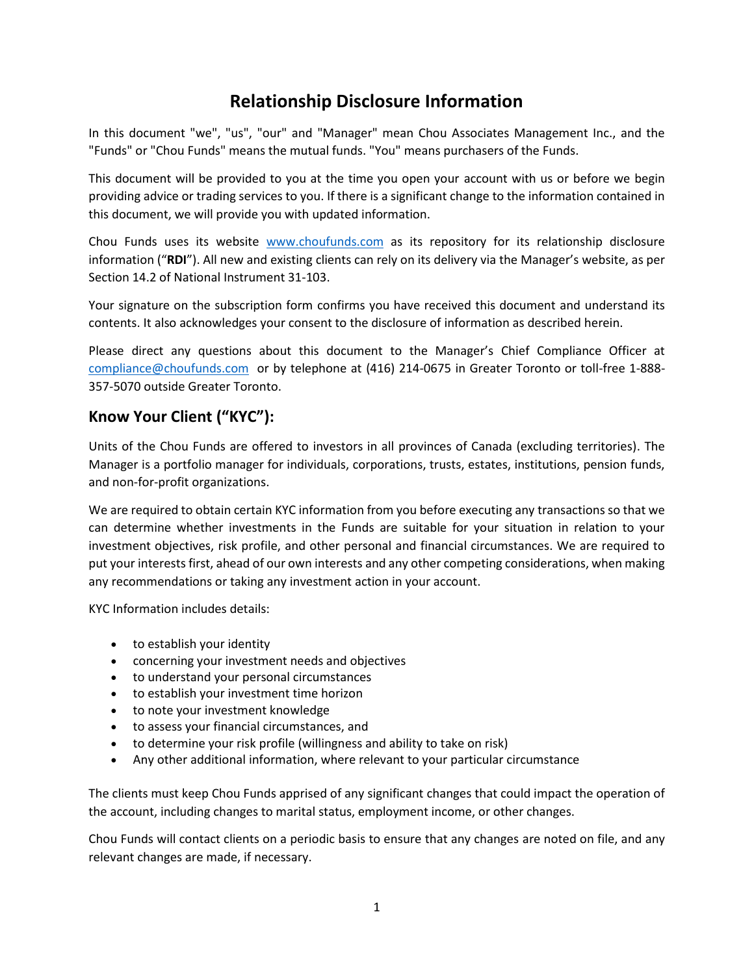# **Relationship Disclosure Information**

In this document "we", "us", "our" and "Manager" mean Chou Associates Management Inc., and the "Funds" or "Chou Funds" means the mutual funds. "You" means purchasers of the Funds.

This document will be provided to you at the time you open your account with us or before we begin providing advice or trading services to you. If there is a significant change to the information contained in this document, we will provide you with updated information.

Chou Funds uses its website [www.choufunds.com](http://www.choufunds.com/) as its repository for its relationship disclosure information ("**RDI**"). All new and existing clients can rely on its delivery via the Manager's website, as per Section 14.2 of National Instrument 31-103.

Your signature on the subscription form confirms you have received this document and understand its contents. It also acknowledges your consent to the disclosure of information as described herein.

Please direct any questions about this document to the Manager's Chief Compliance Officer at [compliance@choufunds.com](mailto:compliance@choufunds.com) or by telephone at (416) 214-0675 in Greater Toronto or toll-free 1-888- 357-5070 outside Greater Toronto.

## **Know Your Client ("KYC"):**

Units of the Chou Funds are offered to investors in all provinces of Canada (excluding territories). The Manager is a portfolio manager for individuals, corporations, trusts, estates, institutions, pension funds, and non-for-profit organizations.

We are required to obtain certain KYC information from you before executing any transactions so that we can determine whether investments in the Funds are suitable for your situation in relation to your investment objectives, risk profile, and other personal and financial circumstances. We are required to put your interests first, ahead of our own interests and any other competing considerations, when making any recommendations or taking any investment action in your account.

KYC Information includes details:

- to establish your identity
- concerning your investment needs and objectives
- to understand your personal circumstances
- to establish your investment time horizon
- to note your investment knowledge
- to assess your financial circumstances, and
- to determine your risk profile (willingness and ability to take on risk)
- Any other additional information, where relevant to your particular circumstance

The clients must keep Chou Funds apprised of any significant changes that could impact the operation of the account, including changes to marital status, employment income, or other changes.

Chou Funds will contact clients on a periodic basis to ensure that any changes are noted on file, and any relevant changes are made, if necessary.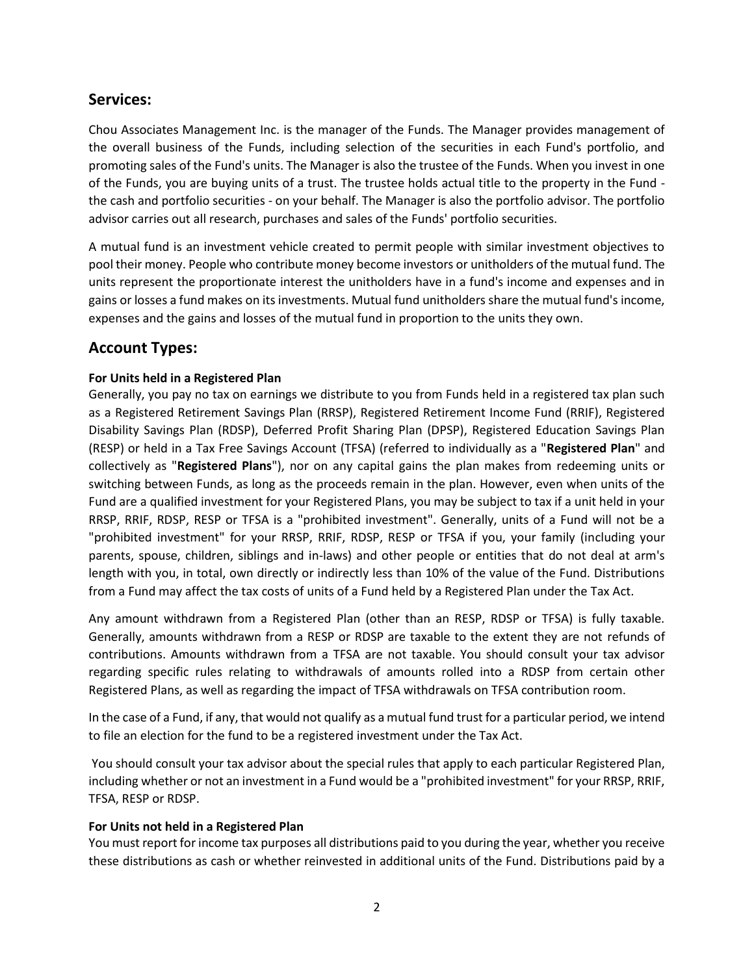### **Services:**

Chou Associates Management Inc. is the manager of the Funds. The Manager provides management of the overall business of the Funds, including selection of the securities in each Fund's portfolio, and promoting sales of the Fund's units. The Manager is also the trustee of the Funds. When you invest in one of the Funds, you are buying units of a trust. The trustee holds actual title to the property in the Fund the cash and portfolio securities - on your behalf. The Manager is also the portfolio advisor. The portfolio advisor carries out all research, purchases and sales of the Funds' portfolio securities.

A mutual fund is an investment vehicle created to permit people with similar investment objectives to pool their money. People who contribute money become investors or unitholders of the mutual fund. The units represent the proportionate interest the unitholders have in a fund's income and expenses and in gains or losses a fund makes on its investments. Mutual fund unitholders share the mutual fund's income, expenses and the gains and losses of the mutual fund in proportion to the units they own.

### **Account Types:**

#### **For Units held in a Registered Plan**

Generally, you pay no tax on earnings we distribute to you from Funds held in a registered tax plan such as a Registered Retirement Savings Plan (RRSP), Registered Retirement Income Fund (RRIF), Registered Disability Savings Plan (RDSP), Deferred Profit Sharing Plan (DPSP), Registered Education Savings Plan (RESP) or held in a Tax Free Savings Account (TFSA) (referred to individually as a "**Registered Plan**" and collectively as "**Registered Plans**"), nor on any capital gains the plan makes from redeeming units or switching between Funds, as long as the proceeds remain in the plan. However, even when units of the Fund are a qualified investment for your Registered Plans, you may be subject to tax if a unit held in your RRSP, RRIF, RDSP, RESP or TFSA is a "prohibited investment". Generally, units of a Fund will not be a "prohibited investment" for your RRSP, RRIF, RDSP, RESP or TFSA if you, your family (including your parents, spouse, children, siblings and in-laws) and other people or entities that do not deal at arm's length with you, in total, own directly or indirectly less than 10% of the value of the Fund. Distributions from a Fund may affect the tax costs of units of a Fund held by a Registered Plan under the Tax Act.

Any amount withdrawn from a Registered Plan (other than an RESP, RDSP or TFSA) is fully taxable. Generally, amounts withdrawn from a RESP or RDSP are taxable to the extent they are not refunds of contributions. Amounts withdrawn from a TFSA are not taxable. You should consult your tax advisor regarding specific rules relating to withdrawals of amounts rolled into a RDSP from certain other Registered Plans, as well as regarding the impact of TFSA withdrawals on TFSA contribution room.

In the case of a Fund, if any, that would not qualify as a mutual fund trust for a particular period, we intend to file an election for the fund to be a registered investment under the Tax Act.

You should consult your tax advisor about the special rules that apply to each particular Registered Plan, including whether or not an investment in a Fund would be a "prohibited investment" for your RRSP, RRIF, TFSA, RESP or RDSP.

#### **For Units not held in a Registered Plan**

You must report for income tax purposes all distributions paid to you during the year, whether you receive these distributions as cash or whether reinvested in additional units of the Fund. Distributions paid by a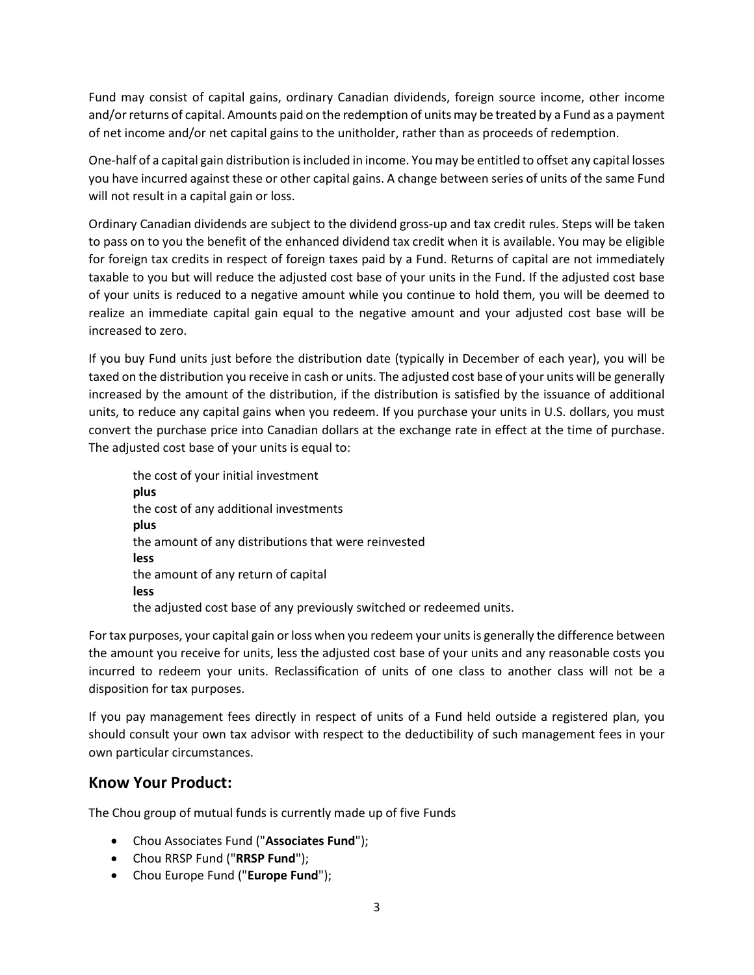Fund may consist of capital gains, ordinary Canadian dividends, foreign source income, other income and/or returns of capital. Amounts paid on the redemption of units may be treated by a Fund as a payment of net income and/or net capital gains to the unitholder, rather than as proceeds of redemption.

One-half of a capital gain distribution is included in income. You may be entitled to offset any capital losses you have incurred against these or other capital gains. A change between series of units of the same Fund will not result in a capital gain or loss.

Ordinary Canadian dividends are subject to the dividend gross-up and tax credit rules. Steps will be taken to pass on to you the benefit of the enhanced dividend tax credit when it is available. You may be eligible for foreign tax credits in respect of foreign taxes paid by a Fund. Returns of capital are not immediately taxable to you but will reduce the adjusted cost base of your units in the Fund. If the adjusted cost base of your units is reduced to a negative amount while you continue to hold them, you will be deemed to realize an immediate capital gain equal to the negative amount and your adjusted cost base will be increased to zero.

If you buy Fund units just before the distribution date (typically in December of each year), you will be taxed on the distribution you receive in cash or units. The adjusted cost base of your units will be generally increased by the amount of the distribution, if the distribution is satisfied by the issuance of additional units, to reduce any capital gains when you redeem. If you purchase your units in U.S. dollars, you must convert the purchase price into Canadian dollars at the exchange rate in effect at the time of purchase. The adjusted cost base of your units is equal to:

the cost of your initial investment **plus**  the cost of any additional investments **plus**  the amount of any distributions that were reinvested **less**  the amount of any return of capital **less**  the adjusted cost base of any previously switched or redeemed units.

For tax purposes, your capital gain or loss when you redeem your units is generally the difference between the amount you receive for units, less the adjusted cost base of your units and any reasonable costs you incurred to redeem your units. Reclassification of units of one class to another class will not be a disposition for tax purposes.

If you pay management fees directly in respect of units of a Fund held outside a registered plan, you should consult your own tax advisor with respect to the deductibility of such management fees in your own particular circumstances.

### **Know Your Product:**

The Chou group of mutual funds is currently made up of five Funds

- Chou Associates Fund ("**Associates Fund**");
- Chou RRSP Fund ("**RRSP Fund**");
- Chou Europe Fund ("**Europe Fund**");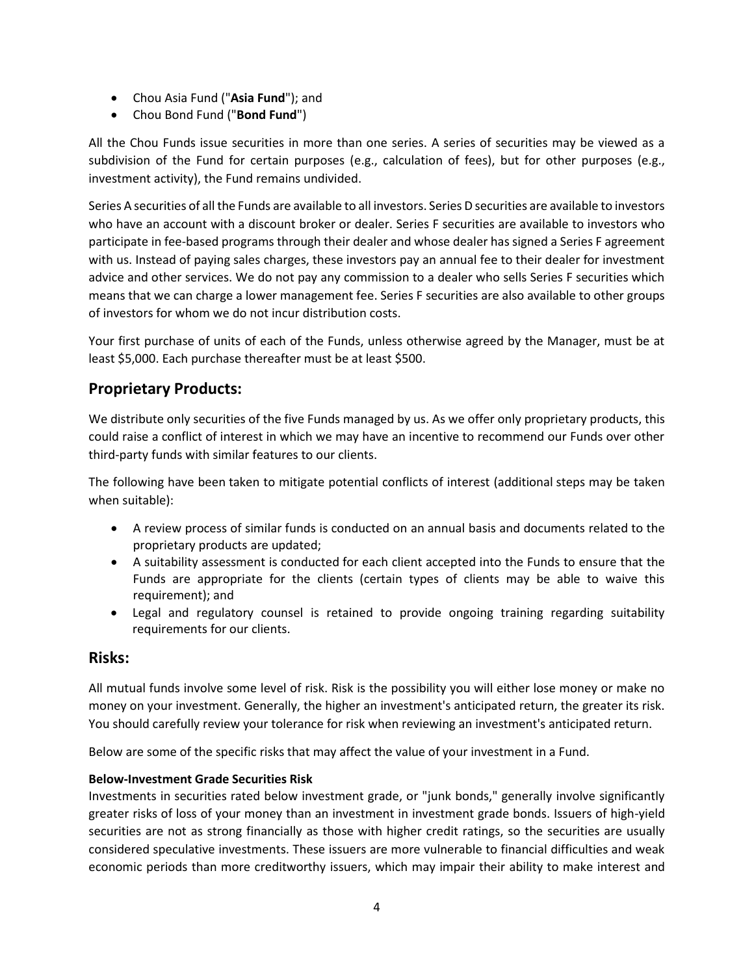- Chou Asia Fund ("**Asia Fund**"); and
- Chou Bond Fund ("**Bond Fund**")

All the Chou Funds issue securities in more than one series. A series of securities may be viewed as a subdivision of the Fund for certain purposes (e.g., calculation of fees), but for other purposes (e.g., investment activity), the Fund remains undivided.

Series A securities of all the Funds are available to all investors. Series D securities are available to investors who have an account with a discount broker or dealer. Series F securities are available to investors who participate in fee-based programs through their dealer and whose dealer has signed a Series F agreement with us. Instead of paying sales charges, these investors pay an annual fee to their dealer for investment advice and other services. We do not pay any commission to a dealer who sells Series F securities which means that we can charge a lower management fee. Series F securities are also available to other groups of investors for whom we do not incur distribution costs.

Your first purchase of units of each of the Funds, unless otherwise agreed by the Manager, must be at least \$5,000. Each purchase thereafter must be at least \$500.

## **Proprietary Products:**

We distribute only securities of the five Funds managed by us. As we offer only proprietary products, this could raise a conflict of interest in which we may have an incentive to recommend our Funds over other third-party funds with similar features to our clients.

The following have been taken to mitigate potential conflicts of interest (additional steps may be taken when suitable):

- A review process of similar funds is conducted on an annual basis and documents related to the proprietary products are updated;
- A suitability assessment is conducted for each client accepted into the Funds to ensure that the Funds are appropriate for the clients (certain types of clients may be able to waive this requirement); and
- Legal and regulatory counsel is retained to provide ongoing training regarding suitability requirements for our clients.

### **Risks:**

All mutual funds involve some level of risk. Risk is the possibility you will either lose money or make no money on your investment. Generally, the higher an investment's anticipated return, the greater its risk. You should carefully review your tolerance for risk when reviewing an investment's anticipated return.

Below are some of the specific risks that may affect the value of your investment in a Fund.

### **Below-Investment Grade Securities Risk**

Investments in securities rated below investment grade, or "junk bonds," generally involve significantly greater risks of loss of your money than an investment in investment grade bonds. Issuers of high-yield securities are not as strong financially as those with higher credit ratings, so the securities are usually considered speculative investments. These issuers are more vulnerable to financial difficulties and weak economic periods than more creditworthy issuers, which may impair their ability to make interest and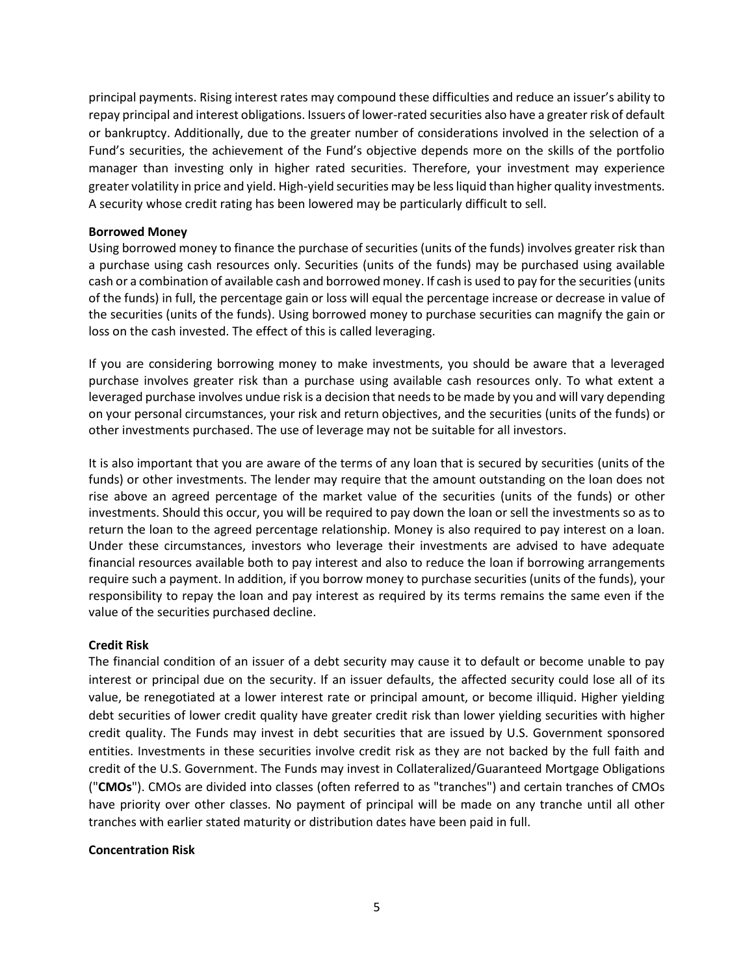principal payments. Rising interest rates may compound these difficulties and reduce an issuer's ability to repay principal and interest obligations. Issuers of lower-rated securities also have a greater risk of default or bankruptcy. Additionally, due to the greater number of considerations involved in the selection of a Fund's securities, the achievement of the Fund's objective depends more on the skills of the portfolio manager than investing only in higher rated securities. Therefore, your investment may experience greater volatility in price and yield. High-yield securities may be less liquid than higher quality investments. A security whose credit rating has been lowered may be particularly difficult to sell.

#### **Borrowed Money**

Using borrowed money to finance the purchase of securities (units of the funds) involves greater risk than a purchase using cash resources only. Securities (units of the funds) may be purchased using available cash or a combination of available cash and borrowed money. If cash is used to pay for the securities (units of the funds) in full, the percentage gain or loss will equal the percentage increase or decrease in value of the securities (units of the funds). Using borrowed money to purchase securities can magnify the gain or loss on the cash invested. The effect of this is called leveraging.

If you are considering borrowing money to make investments, you should be aware that a leveraged purchase involves greater risk than a purchase using available cash resources only. To what extent a leveraged purchase involves undue risk is a decision that needs to be made by you and will vary depending on your personal circumstances, your risk and return objectives, and the securities (units of the funds) or other investments purchased. The use of leverage may not be suitable for all investors.

It is also important that you are aware of the terms of any loan that is secured by securities (units of the funds) or other investments. The lender may require that the amount outstanding on the loan does not rise above an agreed percentage of the market value of the securities (units of the funds) or other investments. Should this occur, you will be required to pay down the loan or sell the investments so as to return the loan to the agreed percentage relationship. Money is also required to pay interest on a loan. Under these circumstances, investors who leverage their investments are advised to have adequate financial resources available both to pay interest and also to reduce the loan if borrowing arrangements require such a payment. In addition, if you borrow money to purchase securities (units of the funds), your responsibility to repay the loan and pay interest as required by its terms remains the same even if the value of the securities purchased decline.

#### **Credit Risk**

The financial condition of an issuer of a debt security may cause it to default or become unable to pay interest or principal due on the security. If an issuer defaults, the affected security could lose all of its value, be renegotiated at a lower interest rate or principal amount, or become illiquid. Higher yielding debt securities of lower credit quality have greater credit risk than lower yielding securities with higher credit quality. The Funds may invest in debt securities that are issued by U.S. Government sponsored entities. Investments in these securities involve credit risk as they are not backed by the full faith and credit of the U.S. Government. The Funds may invest in Collateralized/Guaranteed Mortgage Obligations ("**CMOs**"). CMOs are divided into classes (often referred to as "tranches") and certain tranches of CMOs have priority over other classes. No payment of principal will be made on any tranche until all other tranches with earlier stated maturity or distribution dates have been paid in full.

#### **Concentration Risk**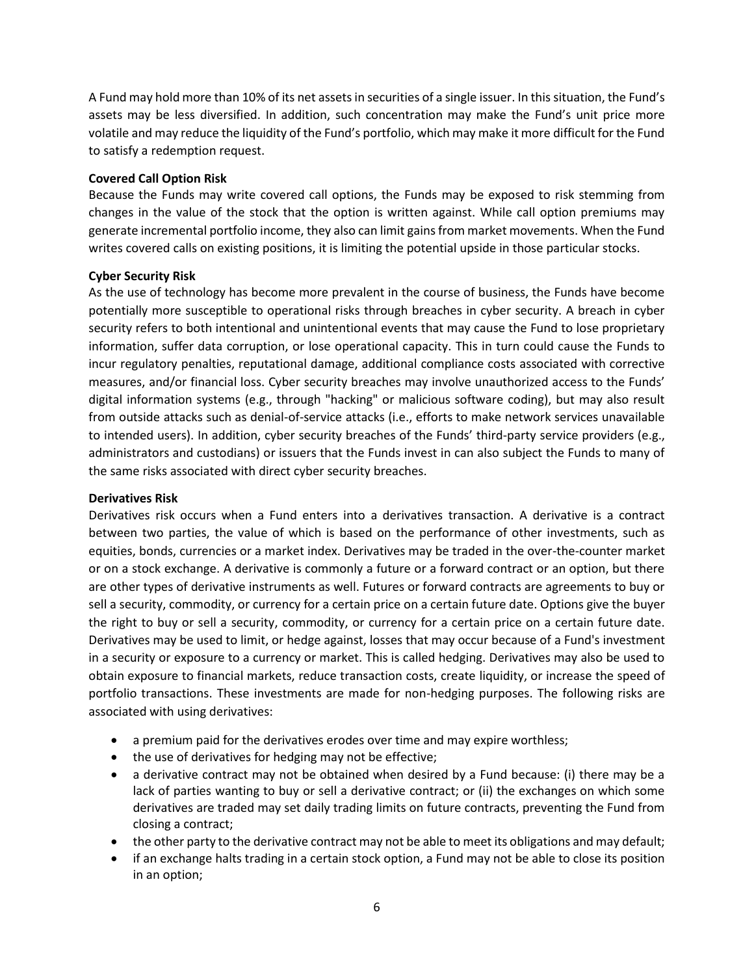A Fund may hold more than 10% of its net assets in securities of a single issuer. In this situation, the Fund's assets may be less diversified. In addition, such concentration may make the Fund's unit price more volatile and may reduce the liquidity of the Fund's portfolio, which may make it more difficult for the Fund to satisfy a redemption request.

#### **Covered Call Option Risk**

Because the Funds may write covered call options, the Funds may be exposed to risk stemming from changes in the value of the stock that the option is written against. While call option premiums may generate incremental portfolio income, they also can limit gains from market movements. When the Fund writes covered calls on existing positions, it is limiting the potential upside in those particular stocks.

#### **Cyber Security Risk**

As the use of technology has become more prevalent in the course of business, the Funds have become potentially more susceptible to operational risks through breaches in cyber security. A breach in cyber security refers to both intentional and unintentional events that may cause the Fund to lose proprietary information, suffer data corruption, or lose operational capacity. This in turn could cause the Funds to incur regulatory penalties, reputational damage, additional compliance costs associated with corrective measures, and/or financial loss. Cyber security breaches may involve unauthorized access to the Funds' digital information systems (e.g., through "hacking" or malicious software coding), but may also result from outside attacks such as denial-of-service attacks (i.e., efforts to make network services unavailable to intended users). In addition, cyber security breaches of the Funds' third-party service providers (e.g., administrators and custodians) or issuers that the Funds invest in can also subject the Funds to many of the same risks associated with direct cyber security breaches.

#### **Derivatives Risk**

Derivatives risk occurs when a Fund enters into a derivatives transaction. A derivative is a contract between two parties, the value of which is based on the performance of other investments, such as equities, bonds, currencies or a market index. Derivatives may be traded in the over-the-counter market or on a stock exchange. A derivative is commonly a future or a forward contract or an option, but there are other types of derivative instruments as well. Futures or forward contracts are agreements to buy or sell a security, commodity, or currency for a certain price on a certain future date. Options give the buyer the right to buy or sell a security, commodity, or currency for a certain price on a certain future date. Derivatives may be used to limit, or hedge against, losses that may occur because of a Fund's investment in a security or exposure to a currency or market. This is called hedging. Derivatives may also be used to obtain exposure to financial markets, reduce transaction costs, create liquidity, or increase the speed of portfolio transactions. These investments are made for non-hedging purposes. The following risks are associated with using derivatives:

- a premium paid for the derivatives erodes over time and may expire worthless;
- the use of derivatives for hedging may not be effective;
- a derivative contract may not be obtained when desired by a Fund because: (i) there may be a lack of parties wanting to buy or sell a derivative contract; or (ii) the exchanges on which some derivatives are traded may set daily trading limits on future contracts, preventing the Fund from closing a contract;
- the other party to the derivative contract may not be able to meet its obligations and may default;
- if an exchange halts trading in a certain stock option, a Fund may not be able to close its position in an option;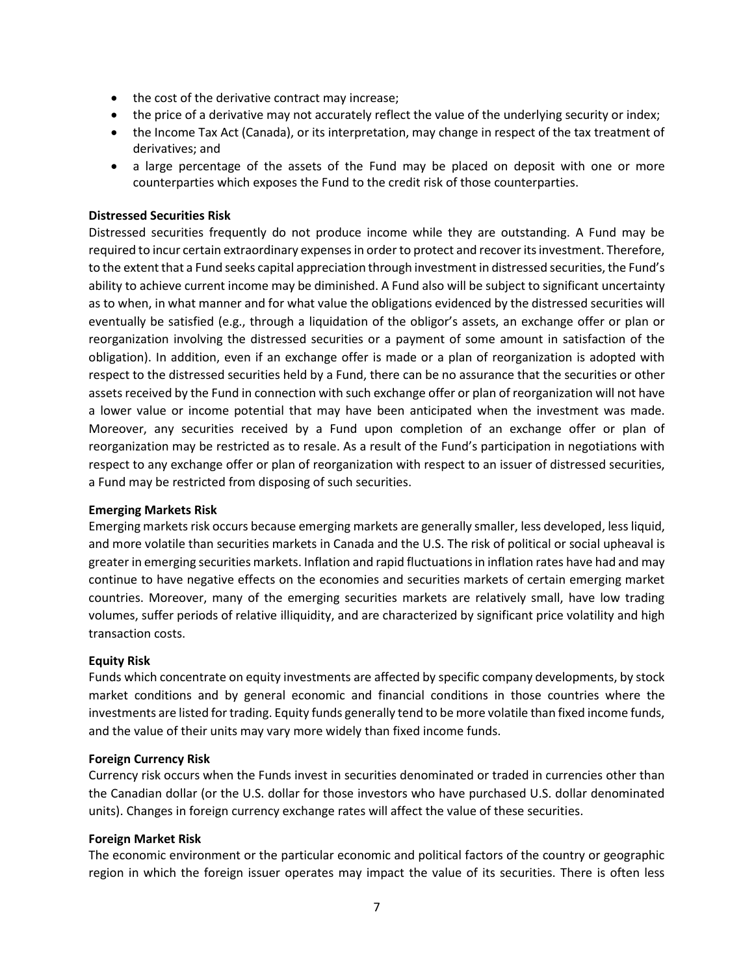- the cost of the derivative contract may increase;
- the price of a derivative may not accurately reflect the value of the underlying security or index;
- the Income Tax Act (Canada), or its interpretation, may change in respect of the tax treatment of derivatives; and
- a large percentage of the assets of the Fund may be placed on deposit with one or more counterparties which exposes the Fund to the credit risk of those counterparties.

#### **Distressed Securities Risk**

Distressed securities frequently do not produce income while they are outstanding. A Fund may be required to incur certain extraordinary expenses in order to protect and recover its investment. Therefore, to the extent that a Fund seeks capital appreciation through investment in distressed securities, the Fund's ability to achieve current income may be diminished. A Fund also will be subject to significant uncertainty as to when, in what manner and for what value the obligations evidenced by the distressed securities will eventually be satisfied (e.g., through a liquidation of the obligor's assets, an exchange offer or plan or reorganization involving the distressed securities or a payment of some amount in satisfaction of the obligation). In addition, even if an exchange offer is made or a plan of reorganization is adopted with respect to the distressed securities held by a Fund, there can be no assurance that the securities or other assets received by the Fund in connection with such exchange offer or plan of reorganization will not have a lower value or income potential that may have been anticipated when the investment was made. Moreover, any securities received by a Fund upon completion of an exchange offer or plan of reorganization may be restricted as to resale. As a result of the Fund's participation in negotiations with respect to any exchange offer or plan of reorganization with respect to an issuer of distressed securities, a Fund may be restricted from disposing of such securities.

#### **Emerging Markets Risk**

Emerging markets risk occurs because emerging markets are generally smaller, less developed, less liquid, and more volatile than securities markets in Canada and the U.S. The risk of political or social upheaval is greater in emerging securities markets. Inflation and rapid fluctuations in inflation rates have had and may continue to have negative effects on the economies and securities markets of certain emerging market countries. Moreover, many of the emerging securities markets are relatively small, have low trading volumes, suffer periods of relative illiquidity, and are characterized by significant price volatility and high transaction costs.

#### **Equity Risk**

Funds which concentrate on equity investments are affected by specific company developments, by stock market conditions and by general economic and financial conditions in those countries where the investments are listed for trading. Equity funds generally tend to be more volatile than fixed income funds, and the value of their units may vary more widely than fixed income funds.

#### **Foreign Currency Risk**

Currency risk occurs when the Funds invest in securities denominated or traded in currencies other than the Canadian dollar (or the U.S. dollar for those investors who have purchased U.S. dollar denominated units). Changes in foreign currency exchange rates will affect the value of these securities.

#### **Foreign Market Risk**

The economic environment or the particular economic and political factors of the country or geographic region in which the foreign issuer operates may impact the value of its securities. There is often less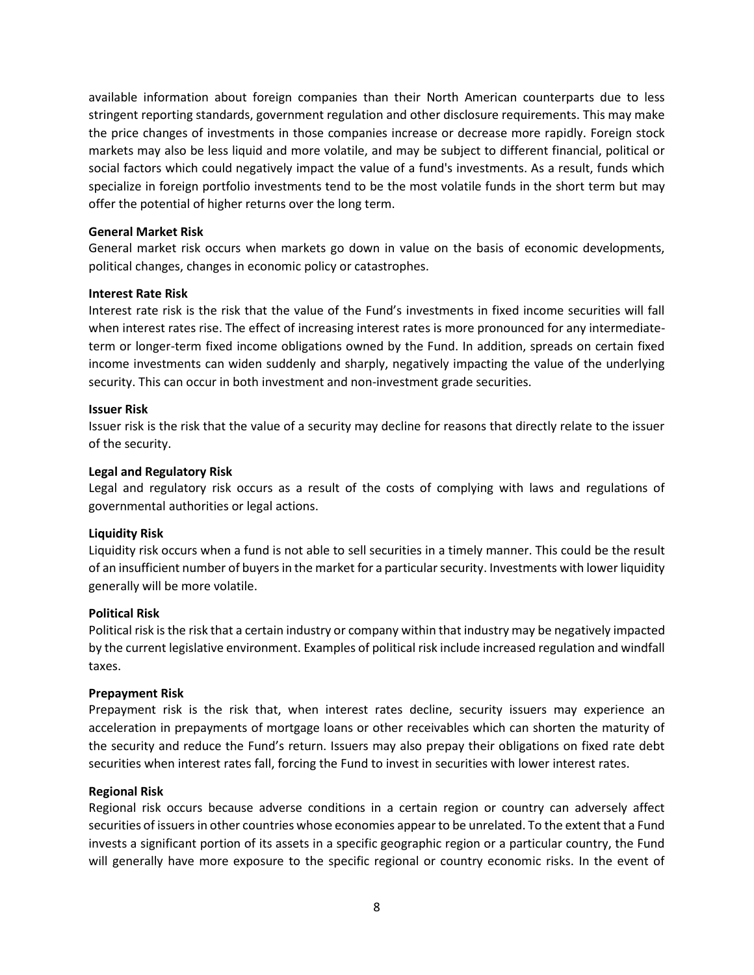available information about foreign companies than their North American counterparts due to less stringent reporting standards, government regulation and other disclosure requirements. This may make the price changes of investments in those companies increase or decrease more rapidly. Foreign stock markets may also be less liquid and more volatile, and may be subject to different financial, political or social factors which could negatively impact the value of a fund's investments. As a result, funds which specialize in foreign portfolio investments tend to be the most volatile funds in the short term but may offer the potential of higher returns over the long term.

#### **General Market Risk**

General market risk occurs when markets go down in value on the basis of economic developments, political changes, changes in economic policy or catastrophes.

#### **Interest Rate Risk**

Interest rate risk is the risk that the value of the Fund's investments in fixed income securities will fall when interest rates rise. The effect of increasing interest rates is more pronounced for any intermediateterm or longer-term fixed income obligations owned by the Fund. In addition, spreads on certain fixed income investments can widen suddenly and sharply, negatively impacting the value of the underlying security. This can occur in both investment and non-investment grade securities.

#### **Issuer Risk**

Issuer risk is the risk that the value of a security may decline for reasons that directly relate to the issuer of the security.

#### **Legal and Regulatory Risk**

Legal and regulatory risk occurs as a result of the costs of complying with laws and regulations of governmental authorities or legal actions.

#### **Liquidity Risk**

Liquidity risk occurs when a fund is not able to sell securities in a timely manner. This could be the result of an insufficient number of buyers in the market for a particular security. Investments with lower liquidity generally will be more volatile.

#### **Political Risk**

Political risk is the risk that a certain industry or company within that industry may be negatively impacted by the current legislative environment. Examples of political risk include increased regulation and windfall taxes.

#### **Prepayment Risk**

Prepayment risk is the risk that, when interest rates decline, security issuers may experience an acceleration in prepayments of mortgage loans or other receivables which can shorten the maturity of the security and reduce the Fund's return. Issuers may also prepay their obligations on fixed rate debt securities when interest rates fall, forcing the Fund to invest in securities with lower interest rates.

#### **Regional Risk**

Regional risk occurs because adverse conditions in a certain region or country can adversely affect securities of issuers in other countries whose economies appear to be unrelated. To the extent that a Fund invests a significant portion of its assets in a specific geographic region or a particular country, the Fund will generally have more exposure to the specific regional or country economic risks. In the event of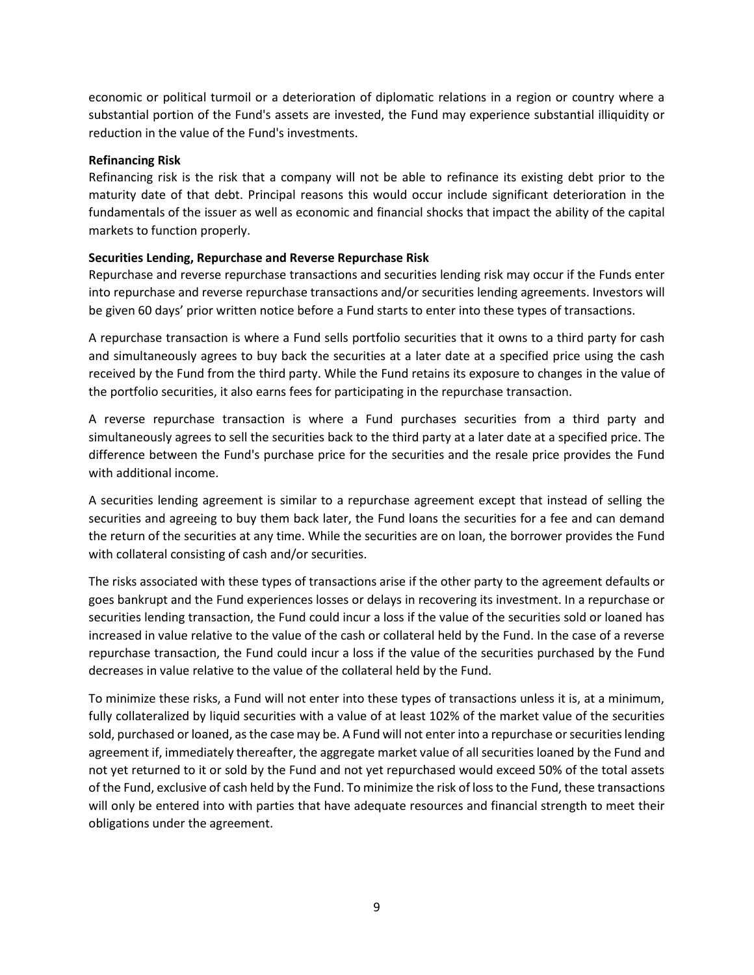economic or political turmoil or a deterioration of diplomatic relations in a region or country where a substantial portion of the Fund's assets are invested, the Fund may experience substantial illiquidity or reduction in the value of the Fund's investments.

#### **Refinancing Risk**

Refinancing risk is the risk that a company will not be able to refinance its existing debt prior to the maturity date of that debt. Principal reasons this would occur include significant deterioration in the fundamentals of the issuer as well as economic and financial shocks that impact the ability of the capital markets to function properly.

#### **Securities Lending, Repurchase and Reverse Repurchase Risk**

Repurchase and reverse repurchase transactions and securities lending risk may occur if the Funds enter into repurchase and reverse repurchase transactions and/or securities lending agreements. Investors will be given 60 days' prior written notice before a Fund starts to enter into these types of transactions.

A repurchase transaction is where a Fund sells portfolio securities that it owns to a third party for cash and simultaneously agrees to buy back the securities at a later date at a specified price using the cash received by the Fund from the third party. While the Fund retains its exposure to changes in the value of the portfolio securities, it also earns fees for participating in the repurchase transaction.

A reverse repurchase transaction is where a Fund purchases securities from a third party and simultaneously agrees to sell the securities back to the third party at a later date at a specified price. The difference between the Fund's purchase price for the securities and the resale price provides the Fund with additional income.

A securities lending agreement is similar to a repurchase agreement except that instead of selling the securities and agreeing to buy them back later, the Fund loans the securities for a fee and can demand the return of the securities at any time. While the securities are on loan, the borrower provides the Fund with collateral consisting of cash and/or securities.

The risks associated with these types of transactions arise if the other party to the agreement defaults or goes bankrupt and the Fund experiences losses or delays in recovering its investment. In a repurchase or securities lending transaction, the Fund could incur a loss if the value of the securities sold or loaned has increased in value relative to the value of the cash or collateral held by the Fund. In the case of a reverse repurchase transaction, the Fund could incur a loss if the value of the securities purchased by the Fund decreases in value relative to the value of the collateral held by the Fund.

To minimize these risks, a Fund will not enter into these types of transactions unless it is, at a minimum, fully collateralized by liquid securities with a value of at least 102% of the market value of the securities sold, purchased or loaned, as the case may be. A Fund will not enter into a repurchase or securities lending agreement if, immediately thereafter, the aggregate market value of all securities loaned by the Fund and not yet returned to it or sold by the Fund and not yet repurchased would exceed 50% of the total assets of the Fund, exclusive of cash held by the Fund. To minimize the risk of loss to the Fund, these transactions will only be entered into with parties that have adequate resources and financial strength to meet their obligations under the agreement.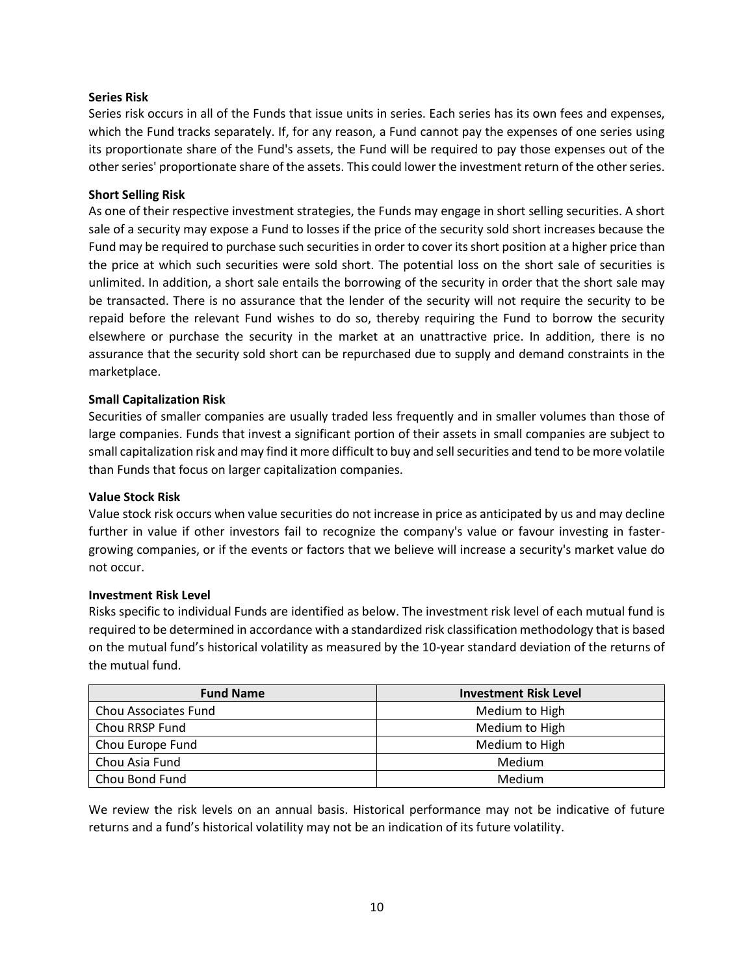#### **Series Risk**

Series risk occurs in all of the Funds that issue units in series. Each series has its own fees and expenses, which the Fund tracks separately. If, for any reason, a Fund cannot pay the expenses of one series using its proportionate share of the Fund's assets, the Fund will be required to pay those expenses out of the other series' proportionate share of the assets. This could lower the investment return of the other series.

#### **Short Selling Risk**

As one of their respective investment strategies, the Funds may engage in short selling securities. A short sale of a security may expose a Fund to losses if the price of the security sold short increases because the Fund may be required to purchase such securities in order to cover its short position at a higher price than the price at which such securities were sold short. The potential loss on the short sale of securities is unlimited. In addition, a short sale entails the borrowing of the security in order that the short sale may be transacted. There is no assurance that the lender of the security will not require the security to be repaid before the relevant Fund wishes to do so, thereby requiring the Fund to borrow the security elsewhere or purchase the security in the market at an unattractive price. In addition, there is no assurance that the security sold short can be repurchased due to supply and demand constraints in the marketplace.

#### **Small Capitalization Risk**

Securities of smaller companies are usually traded less frequently and in smaller volumes than those of large companies. Funds that invest a significant portion of their assets in small companies are subject to small capitalization risk and may find it more difficult to buy and sell securities and tend to be more volatile than Funds that focus on larger capitalization companies.

#### **Value Stock Risk**

Value stock risk occurs when value securities do not increase in price as anticipated by us and may decline further in value if other investors fail to recognize the company's value or favour investing in fastergrowing companies, or if the events or factors that we believe will increase a security's market value do not occur.

#### **Investment Risk Level**

Risks specific to individual Funds are identified as below. The investment risk level of each mutual fund is required to be determined in accordance with a standardized risk classification methodology that is based on the mutual fund's historical volatility as measured by the 10-year standard deviation of the returns of the mutual fund.

| <b>Fund Name</b>     | <b>Investment Risk Level</b> |
|----------------------|------------------------------|
| Chou Associates Fund | Medium to High               |
| Chou RRSP Fund       | Medium to High               |
| Chou Europe Fund     | Medium to High               |
| Chou Asia Fund       | Medium                       |
| Chou Bond Fund       | Medium                       |

We review the risk levels on an annual basis. Historical performance may not be indicative of future returns and a fund's historical volatility may not be an indication of its future volatility.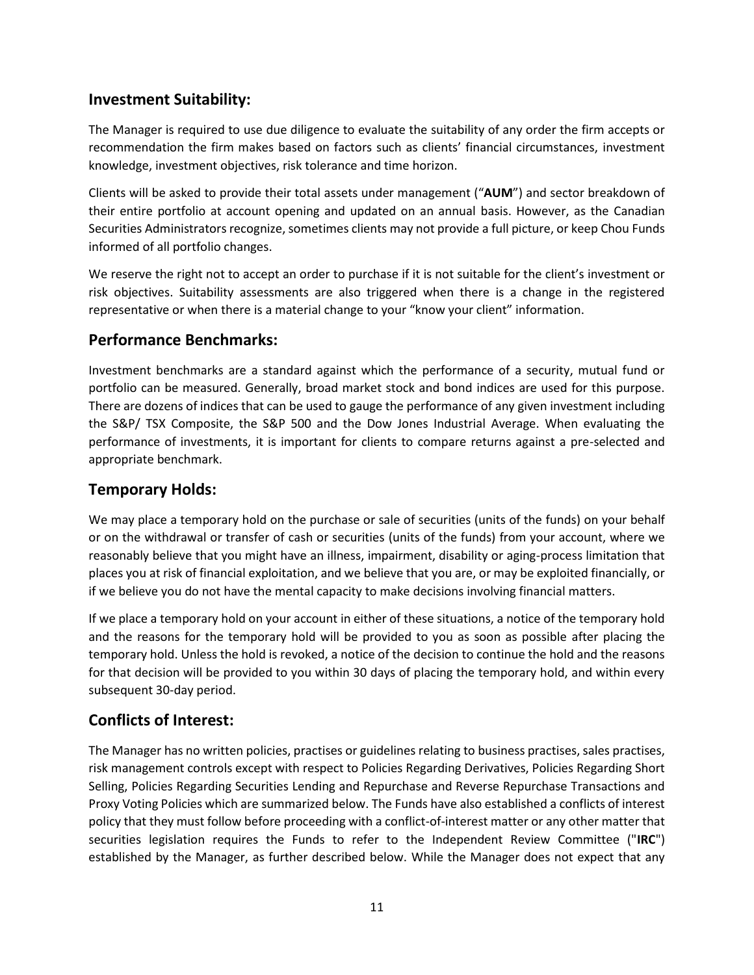## **Investment Suitability:**

The Manager is required to use due diligence to evaluate the suitability of any order the firm accepts or recommendation the firm makes based on factors such as clients' financial circumstances, investment knowledge, investment objectives, risk tolerance and time horizon.

Clients will be asked to provide their total assets under management ("**AUM**") and sector breakdown of their entire portfolio at account opening and updated on an annual basis. However, as the Canadian Securities Administrators recognize, sometimes clients may not provide a full picture, or keep Chou Funds informed of all portfolio changes.

We reserve the right not to accept an order to purchase if it is not suitable for the client's investment or risk objectives. Suitability assessments are also triggered when there is a change in the registered representative or when there is a material change to your "know your client" information.

## **Performance Benchmarks:**

Investment benchmarks are a standard against which the performance of a security, mutual fund or portfolio can be measured. Generally, broad market stock and bond indices are used for this purpose. There are dozens of indices that can be used to gauge the performance of any given investment including the S&P/ TSX Composite, the S&P 500 and the Dow Jones Industrial Average. When evaluating the performance of investments, it is important for clients to compare returns against a pre-selected and appropriate benchmark.

### **Temporary Holds:**

We may place a temporary hold on the purchase or sale of securities (units of the funds) on your behalf or on the withdrawal or transfer of cash or securities (units of the funds) from your account, where we reasonably believe that you might have an illness, impairment, disability or aging-process limitation that places you at risk of financial exploitation, and we believe that you are, or may be exploited financially, or if we believe you do not have the mental capacity to make decisions involving financial matters.

If we place a temporary hold on your account in either of these situations, a notice of the temporary hold and the reasons for the temporary hold will be provided to you as soon as possible after placing the temporary hold. Unless the hold is revoked, a notice of the decision to continue the hold and the reasons for that decision will be provided to you within 30 days of placing the temporary hold, and within every subsequent 30-day period.

## **Conflicts of Interest:**

The Manager has no written policies, practises or guidelines relating to business practises, sales practises, risk management controls except with respect to Policies Regarding Derivatives, Policies Regarding Short Selling, Policies Regarding Securities Lending and Repurchase and Reverse Repurchase Transactions and Proxy Voting Policies which are summarized below. The Funds have also established a conflicts of interest policy that they must follow before proceeding with a conflict-of-interest matter or any other matter that securities legislation requires the Funds to refer to the Independent Review Committee ("**IRC**") established by the Manager, as further described below. While the Manager does not expect that any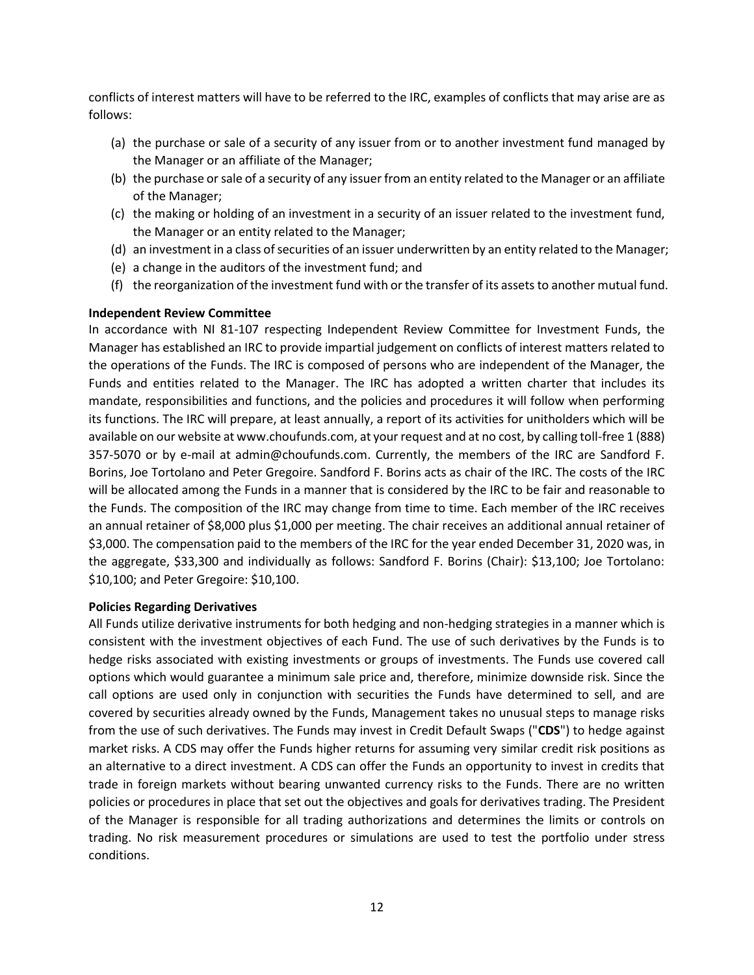conflicts of interest matters will have to be referred to the IRC, examples of conflicts that may arise are as follows:

- (a) the purchase or sale of a security of any issuer from or to another investment fund managed by the Manager or an affiliate of the Manager;
- (b) the purchase or sale of a security of any issuer from an entity related to the Manager or an affiliate of the Manager;
- (c) the making or holding of an investment in a security of an issuer related to the investment fund, the Manager or an entity related to the Manager;
- (d) an investment in a class of securities of an issuer underwritten by an entity related to the Manager;
- (e) a change in the auditors of the investment fund; and
- (f) the reorganization of the investment fund with or the transfer of its assets to another mutual fund.

#### **Independent Review Committee**

In accordance with NI 81-107 respecting Independent Review Committee for Investment Funds, the Manager has established an IRC to provide impartial judgement on conflicts of interest matters related to the operations of the Funds. The IRC is composed of persons who are independent of the Manager, the Funds and entities related to the Manager. The IRC has adopted a written charter that includes its mandate, responsibilities and functions, and the policies and procedures it will follow when performing its functions. The IRC will prepare, at least annually, a report of its activities for unitholders which will be available on our website at www.choufunds.com, at your request and at no cost, by calling toll-free 1 (888) 357-5070 or by e-mail at admin@choufunds.com. Currently, the members of the IRC are Sandford F. Borins, Joe Tortolano and Peter Gregoire. Sandford F. Borins acts as chair of the IRC. The costs of the IRC will be allocated among the Funds in a manner that is considered by the IRC to be fair and reasonable to the Funds. The composition of the IRC may change from time to time. Each member of the IRC receives an annual retainer of \$8,000 plus \$1,000 per meeting. The chair receives an additional annual retainer of \$3,000. The compensation paid to the members of the IRC for the year ended December 31, 2020 was, in the aggregate, \$33,300 and individually as follows: Sandford F. Borins (Chair): \$13,100; Joe Tortolano: \$10,100; and Peter Gregoire: \$10,100.

#### **Policies Regarding Derivatives**

All Funds utilize derivative instruments for both hedging and non-hedging strategies in a manner which is consistent with the investment objectives of each Fund. The use of such derivatives by the Funds is to hedge risks associated with existing investments or groups of investments. The Funds use covered call options which would guarantee a minimum sale price and, therefore, minimize downside risk. Since the call options are used only in conjunction with securities the Funds have determined to sell, and are covered by securities already owned by the Funds, Management takes no unusual steps to manage risks from the use of such derivatives. The Funds may invest in Credit Default Swaps ("**CDS**") to hedge against market risks. A CDS may offer the Funds higher returns for assuming very similar credit risk positions as an alternative to a direct investment. A CDS can offer the Funds an opportunity to invest in credits that trade in foreign markets without bearing unwanted currency risks to the Funds. There are no written policies or procedures in place that set out the objectives and goals for derivatives trading. The President of the Manager is responsible for all trading authorizations and determines the limits or controls on trading. No risk measurement procedures or simulations are used to test the portfolio under stress conditions.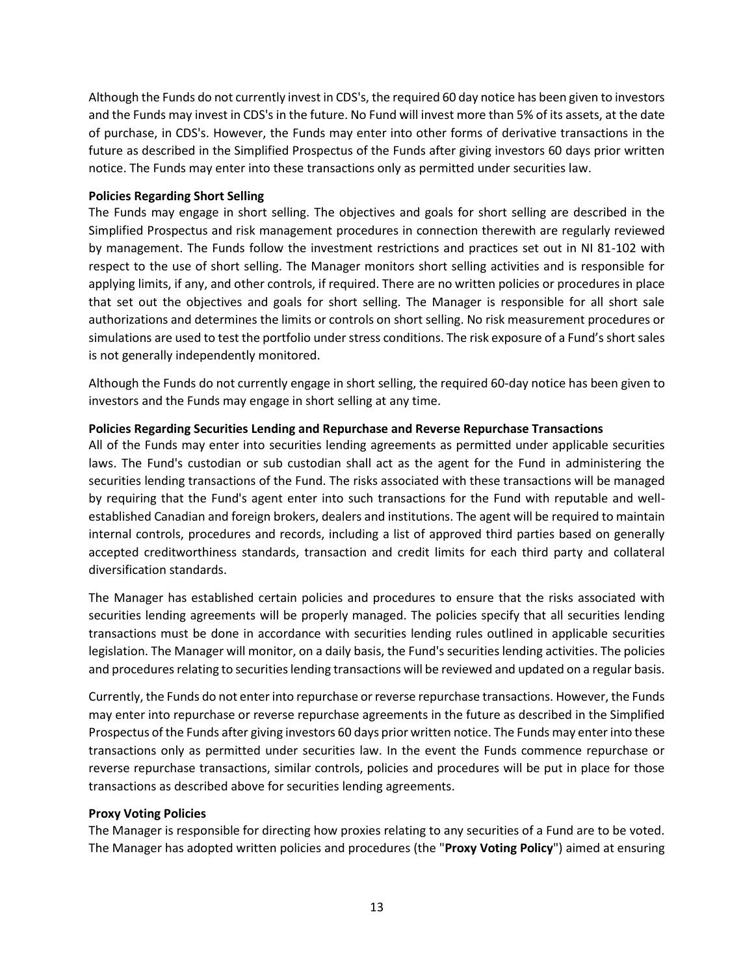Although the Funds do not currently invest in CDS's, the required 60 day notice has been given to investors and the Funds may invest in CDS's in the future. No Fund will invest more than 5% of its assets, at the date of purchase, in CDS's. However, the Funds may enter into other forms of derivative transactions in the future as described in the Simplified Prospectus of the Funds after giving investors 60 days prior written notice. The Funds may enter into these transactions only as permitted under securities law.

#### **Policies Regarding Short Selling**

The Funds may engage in short selling. The objectives and goals for short selling are described in the Simplified Prospectus and risk management procedures in connection therewith are regularly reviewed by management. The Funds follow the investment restrictions and practices set out in NI 81-102 with respect to the use of short selling. The Manager monitors short selling activities and is responsible for applying limits, if any, and other controls, if required. There are no written policies or procedures in place that set out the objectives and goals for short selling. The Manager is responsible for all short sale authorizations and determines the limits or controls on short selling. No risk measurement procedures or simulations are used to test the portfolio under stress conditions. The risk exposure of a Fund's short sales is not generally independently monitored.

Although the Funds do not currently engage in short selling, the required 60-day notice has been given to investors and the Funds may engage in short selling at any time.

#### **Policies Regarding Securities Lending and Repurchase and Reverse Repurchase Transactions**

All of the Funds may enter into securities lending agreements as permitted under applicable securities laws. The Fund's custodian or sub custodian shall act as the agent for the Fund in administering the securities lending transactions of the Fund. The risks associated with these transactions will be managed by requiring that the Fund's agent enter into such transactions for the Fund with reputable and wellestablished Canadian and foreign brokers, dealers and institutions. The agent will be required to maintain internal controls, procedures and records, including a list of approved third parties based on generally accepted creditworthiness standards, transaction and credit limits for each third party and collateral diversification standards.

The Manager has established certain policies and procedures to ensure that the risks associated with securities lending agreements will be properly managed. The policies specify that all securities lending transactions must be done in accordance with securities lending rules outlined in applicable securities legislation. The Manager will monitor, on a daily basis, the Fund's securities lending activities. The policies and procedures relating to securities lending transactions will be reviewed and updated on a regular basis.

Currently, the Funds do not enter into repurchase or reverse repurchase transactions. However, the Funds may enter into repurchase or reverse repurchase agreements in the future as described in the Simplified Prospectus of the Funds after giving investors 60 days prior written notice. The Funds may enter into these transactions only as permitted under securities law. In the event the Funds commence repurchase or reverse repurchase transactions, similar controls, policies and procedures will be put in place for those transactions as described above for securities lending agreements.

#### **Proxy Voting Policies**

The Manager is responsible for directing how proxies relating to any securities of a Fund are to be voted. The Manager has adopted written policies and procedures (the "**Proxy Voting Policy**") aimed at ensuring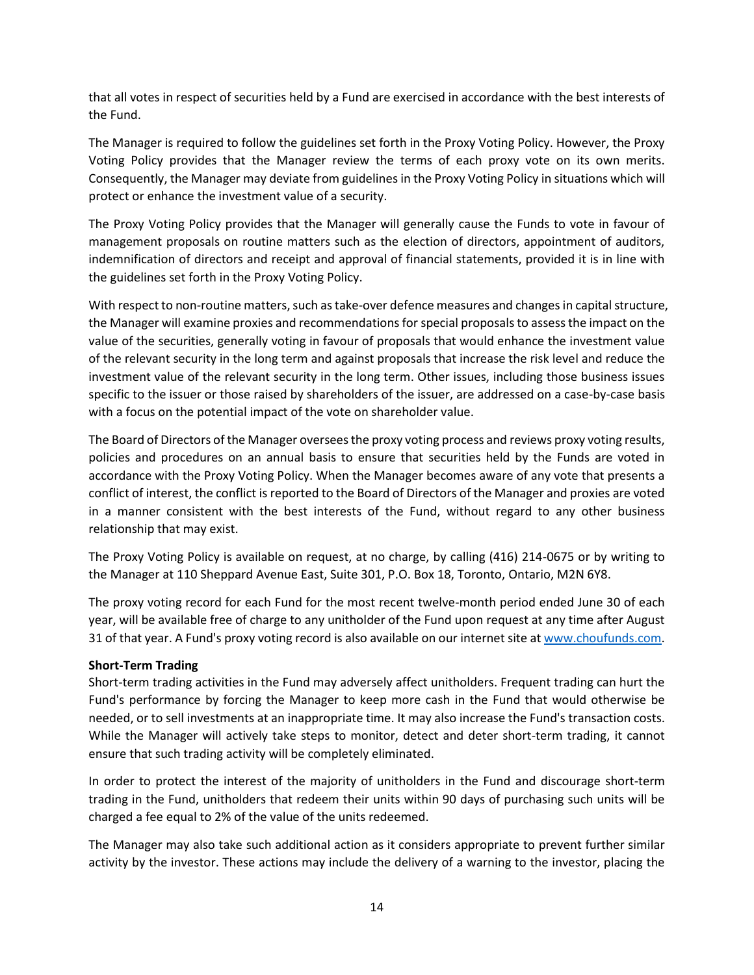that all votes in respect of securities held by a Fund are exercised in accordance with the best interests of the Fund.

The Manager is required to follow the guidelines set forth in the Proxy Voting Policy. However, the Proxy Voting Policy provides that the Manager review the terms of each proxy vote on its own merits. Consequently, the Manager may deviate from guidelines in the Proxy Voting Policy in situations which will protect or enhance the investment value of a security.

The Proxy Voting Policy provides that the Manager will generally cause the Funds to vote in favour of management proposals on routine matters such as the election of directors, appointment of auditors, indemnification of directors and receipt and approval of financial statements, provided it is in line with the guidelines set forth in the Proxy Voting Policy.

With respect to non-routine matters, such as take-over defence measures and changes in capital structure, the Manager will examine proxies and recommendations for special proposals to assess the impact on the value of the securities, generally voting in favour of proposals that would enhance the investment value of the relevant security in the long term and against proposals that increase the risk level and reduce the investment value of the relevant security in the long term. Other issues, including those business issues specific to the issuer or those raised by shareholders of the issuer, are addressed on a case-by-case basis with a focus on the potential impact of the vote on shareholder value.

The Board of Directors of the Manager oversees the proxy voting process and reviews proxy voting results, policies and procedures on an annual basis to ensure that securities held by the Funds are voted in accordance with the Proxy Voting Policy. When the Manager becomes aware of any vote that presents a conflict of interest, the conflict is reported to the Board of Directors of the Manager and proxies are voted in a manner consistent with the best interests of the Fund, without regard to any other business relationship that may exist.

The Proxy Voting Policy is available on request, at no charge, by calling (416) 214-0675 or by writing to the Manager at 110 Sheppard Avenue East, Suite 301, P.O. Box 18, Toronto, Ontario, M2N 6Y8.

The proxy voting record for each Fund for the most recent twelve-month period ended June 30 of each year, will be available free of charge to any unitholder of the Fund upon request at any time after August 31 of that year. A Fund's proxy voting record is also available on our internet site at [www.choufunds.com.](http://www.choufunds.com/)

#### **Short-Term Trading**

Short-term trading activities in the Fund may adversely affect unitholders. Frequent trading can hurt the Fund's performance by forcing the Manager to keep more cash in the Fund that would otherwise be needed, or to sell investments at an inappropriate time. It may also increase the Fund's transaction costs. While the Manager will actively take steps to monitor, detect and deter short-term trading, it cannot ensure that such trading activity will be completely eliminated.

In order to protect the interest of the majority of unitholders in the Fund and discourage short-term trading in the Fund, unitholders that redeem their units within 90 days of purchasing such units will be charged a fee equal to 2% of the value of the units redeemed.

The Manager may also take such additional action as it considers appropriate to prevent further similar activity by the investor. These actions may include the delivery of a warning to the investor, placing the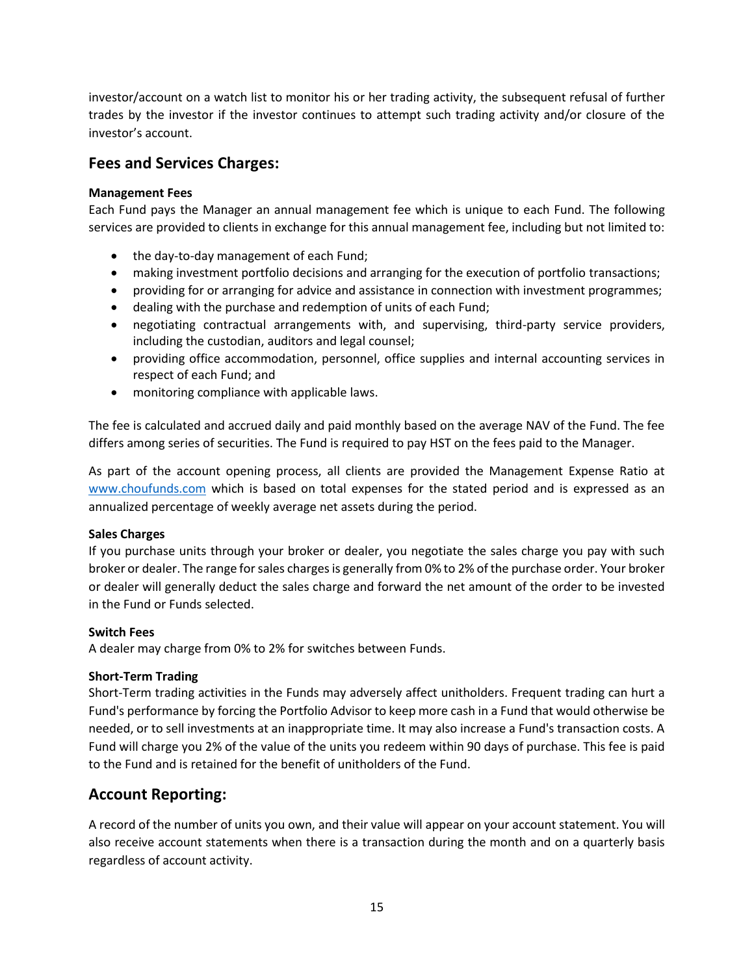investor/account on a watch list to monitor his or her trading activity, the subsequent refusal of further trades by the investor if the investor continues to attempt such trading activity and/or closure of the investor's account.

### **Fees and Services Charges:**

#### **Management Fees**

Each Fund pays the Manager an annual management fee which is unique to each Fund. The following services are provided to clients in exchange for this annual management fee, including but not limited to:

- the day-to-day management of each Fund;
- making investment portfolio decisions and arranging for the execution of portfolio transactions;
- providing for or arranging for advice and assistance in connection with investment programmes;
- dealing with the purchase and redemption of units of each Fund;
- negotiating contractual arrangements with, and supervising, third-party service providers, including the custodian, auditors and legal counsel;
- providing office accommodation, personnel, office supplies and internal accounting services in respect of each Fund; and
- monitoring compliance with applicable laws.

The fee is calculated and accrued daily and paid monthly based on the average NAV of the Fund. The fee differs among series of securities. The Fund is required to pay HST on the fees paid to the Manager.

As part of the account opening process, all clients are provided the Management Expense Ratio at [www.choufunds.com](http://www.choufunds.com/) which is based on total expenses for the stated period and is expressed as an annualized percentage of weekly average net assets during the period.

#### **Sales Charges**

If you purchase units through your broker or dealer, you negotiate the sales charge you pay with such broker or dealer. The range for sales charges is generally from 0% to 2% of the purchase order. Your broker or dealer will generally deduct the sales charge and forward the net amount of the order to be invested in the Fund or Funds selected.

#### **Switch Fees**

A dealer may charge from 0% to 2% for switches between Funds.

#### **Short-Term Trading**

Short-Term trading activities in the Funds may adversely affect unitholders. Frequent trading can hurt a Fund's performance by forcing the Portfolio Advisor to keep more cash in a Fund that would otherwise be needed, or to sell investments at an inappropriate time. It may also increase a Fund's transaction costs. A Fund will charge you 2% of the value of the units you redeem within 90 days of purchase. This fee is paid to the Fund and is retained for the benefit of unitholders of the Fund.

### **Account Reporting:**

A record of the number of units you own, and their value will appear on your account statement. You will also receive account statements when there is a transaction during the month and on a quarterly basis regardless of account activity.